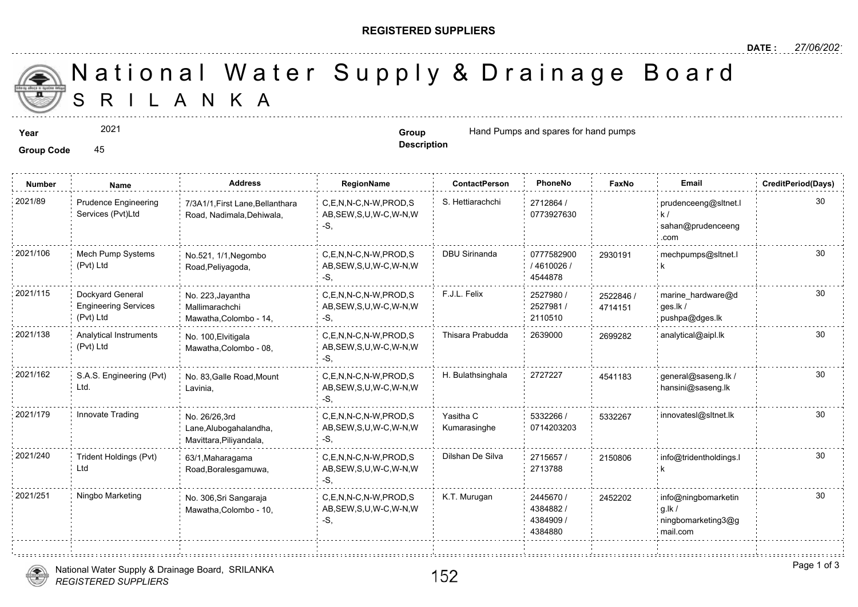## **REGISTERED SUPPLIERS**

**Description**

A N K A National Water Supply & Drainage

**Year EXECUST 2021 Group Group Hand Pumps and spares for hand pum** 

Group Code 45

2021

**Number Name Address RegionName ContactPerson PhoneNo FaxNo Email CreditPeriod(Days)** Prudence Engineering 2021/89 Prudence Engineering 7/3A1/1,First Lane,Bellanthara C,E,N,N-C,N-W,PROD,S S. Hettiarachchi 2712864 / C,E,N,N-C,N-W,PROD,S S. Hettiarachchi 2712864 / Services (Pvt)Ltd AB,SEW,S,U,W-C,W-N,W 0773927630 Road, Nadimala,Dehiwala, -S, 2021/106 Mech Pump Systems No.521, 1/1, Negombo C,E,N,N-C,N-W,PROD,S DBU Sirinanda 0777582900 293019 Mech Pump Systems 293019 0777582900 No.521, 1/1,Negombo (Pvt) Ltd AB,SEW,S,U,W-C,W-N,W Road,Peliyagoda, / 4610026 / -S, 4544878 . . . . . . . . . 2021/115 Dockyard General No. 223, Jayantha C,E,N,N-C,N-W,PROD,S F.J.L. Felix 2527980 / 2527980 / 25278 Dockyard General 2527980 / No. 223,Jayantha 252284 Engineering Services AB,SEW,S,U,W-C,W-N,W 2527981 / Mallimarachchi 471415 (Pvt) Ltd Mawatha,Colombo - 14, -S, 2110510 2021/138 Analytical Instruments No. 100,Elvitigala C,E,N,N-C,N-W,PROD,S Thisara Prabudda 2639000 269928 Analytical Instruments No. 100,Elvitigala (Pvt) Ltd Mawatha,Colombo - 08, AB,SEW,S,U,W-C,W-N,W -S, 2021/162 S.A.S. Engineering (Pvt) No. 83, Galle Road, Mount C,E,N,N-C,N-W,PROD,S H. Bulathsinghala 2727227 454118 S.A.S. Engineering (Pvt) No. 83,Galle Road,Mount 4541183 Ltd. Lavinia, AB,SEW,S,U,W-C,W-N,W -S, 2021/179 Innovate Trading No. 26/26,3rd C,E,N,N-C,N-W,PROD,S Yasitha C 5332266 / 533226 5332266 / 533226 No. 26/26,3rd Yasitha C Lane,Alubogahalandha, AB,SEW,S,U,W-C,W-N,W Kumarasinghe 0714203203 Mavittara,Piliyandala, -S, 2021/240 Trident Holdings (Pvt) 63/1, Maharagama C,E,N,N-C,N-W,PROD,S Dilshan De Silva 2715657 / 215080 Trident Holdings (Pvt) 21508 63/1,Maharagama 2715657 / Ltd AB,SEW,S,U,W-C,W-N,W 2713788 Road,Boralesgamuwa, -S, 2021/251 Ningbo Marketing info@ningbomarketing info@ningbomarchio englesial communic C,E,N,N-C,N-W,PROD,S info. No. 306,Sri Sangaraja 2445670 / 245220 AB,SEW,S,U,W-C,W-N,W Mawatha,Colombo - 10, 4384882 /  $-S$ 4384909 / 4384880



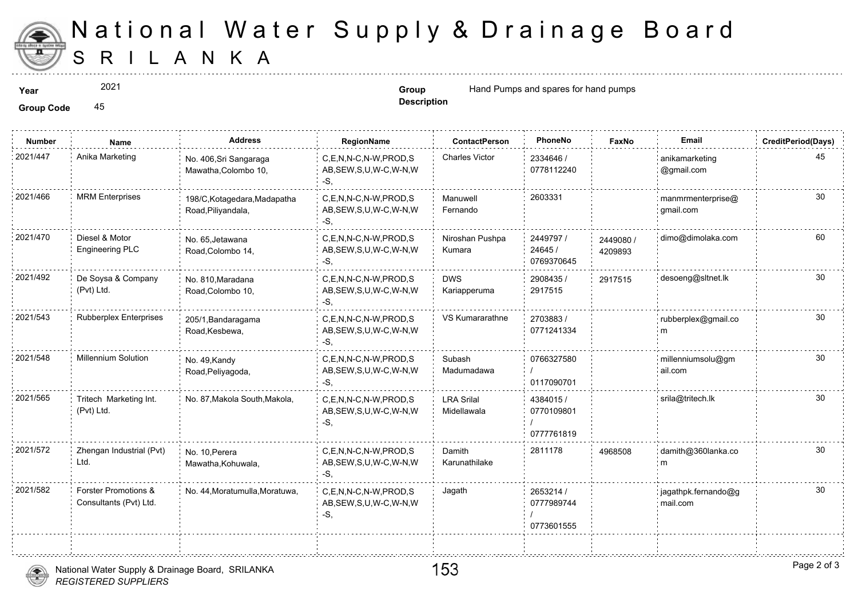

## S R I L A N K A National Water Supply & Drainage

2021

**Description**

**Year Example 2021 Group Group Hand Pumps and spares for hand pum** 

**Group Code** 45

| <b>Number</b> | Name                                           | <b>Address</b>                                     | RegionName                                                   | <b>ContactPerson</b>             | PhoneNo                               | Faxl             |
|---------------|------------------------------------------------|----------------------------------------------------|--------------------------------------------------------------|----------------------------------|---------------------------------------|------------------|
| 2021/447      | Anika Marketing                                | No. 406, Sri Sangaraga<br>Mawatha, Colombo 10,     | C,E,N,N-C,N-W,PROD,S<br>AB, SEW, S, U, W-C, W-N, W<br>$-S$ . | <b>Charles Victor</b>            | 2334646 /<br>0778112240               |                  |
| 2021/466      | <b>MRM Enterprises</b>                         | 198/C, Kotagedara, Madapatha<br>Road, Piliyandala, | C,E,N,N-C,N-W,PROD,S<br>AB, SEW, S, U, W-C, W-N, W<br>-S,    | Manuwell<br>Fernando             | 2603331                               |                  |
| 2021/470      | Diesel & Motor<br><b>Engineering PLC</b>       | No. 65, Jetawana<br>Road, Colombo 14,              | C,E,N,N-C,N-W,PROD,S<br>AB, SEW, S, U, W-C, W-N, W<br>$-S$ . | Niroshan Pushpa<br>Kumara        | 2449797 /<br>24645 /<br>0769370645    | 244908<br>420989 |
| 2021/492      | De Soysa & Company<br>(Pvt) Ltd.               | No. 810. Maradana<br>Road, Colombo 10,             | C.E.N.N-C.N-W.PROD.S<br>AB, SEW, S, U, W-C, W-N, W<br>-S.    | <b>DWS</b><br>Kariapperuma       | 2908435 /<br>2917515                  | 291751           |
| 2021/543      | <b>Rubberplex Enterprises</b>                  | 205/1, Bandaragama<br>Road, Kesbewa,               | C,E,N,N-C,N-W,PROD,S<br>AB, SEW, S, U, W-C, W-N, W<br>-S.    | VS Kumararathne                  | 2703883/<br>0771241334                |                  |
| 2021/548      | Millennium Solution                            | No. 49, Kandy<br>Road, Peliyagoda,                 | C.E.N.N-C.N-W.PROD.S<br>AB, SEW, S, U, W-C, W-N, W<br>$-S$ . | Subash<br>Madumadawa             | 0766327580<br>0117090701              |                  |
| 2021/565      | Tritech Marketing Int.<br>(Pvt) Ltd.           | No. 87, Makola South, Makola,                      | C,E,N,N-C,N-W,PROD,S<br>AB, SEW, S, U, W-C, W-N, W<br>-S.    | <b>LRA Srilal</b><br>Midellawala | 4384015 /<br>0770109801<br>0777761819 |                  |
| 2021/572      | Zhengan Industrial (Pvt)<br>Ltd.               | No. 10. Perera<br>Mawatha, Kohuwala,               | C.E.N.N-C.N-W.PROD.S<br>AB, SEW, S, U, W-C, W-N, W<br>$-S$ . | Damith<br>Karunathilake          | 2811178                               | 496850           |
| 2021/582      | Forster Promotions &<br>Consultants (Pvt) Ltd. | No. 44, Moratumulla, Moratuwa,                     | C,E,N,N-C,N-W,PROD,S<br>AB, SEW, S, U, W-C, W-N, W<br>$-S,$  | Jagath                           | 2653214 /<br>0777989744<br>0773601555 |                  |
|               |                                                |                                                    |                                                              |                                  |                                       |                  |